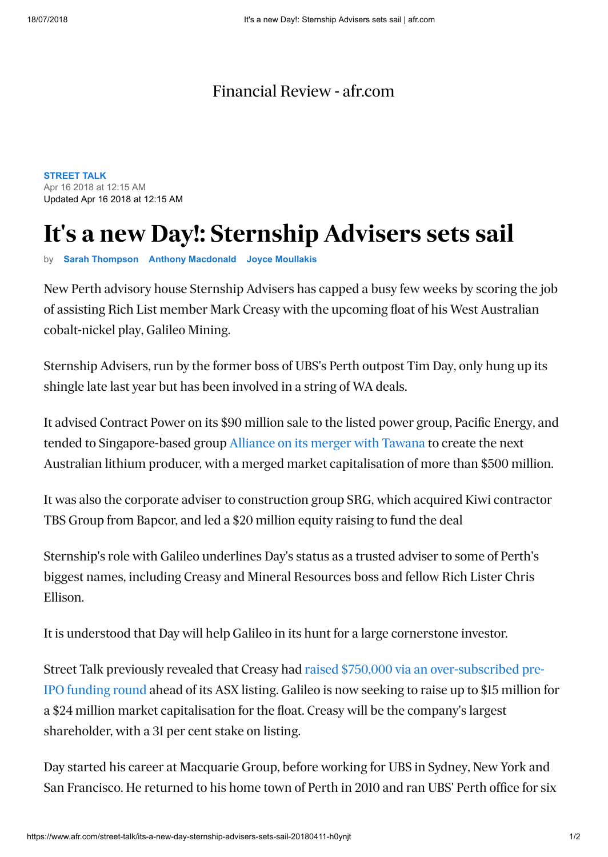## [Financial Review - afr.com](https://www.afr.com/)

**[STREET TALK](https://www.afr.com/street-talk)** Apr 16 2018 at 12:15 AM Updated Apr 16 2018 at 12:15 AM

## **It's a new Day!: Sternship Advisers sets sail**

by **[Sarah Thompson](https://www.afr.com/street-talk/sarah-thompson-j7ger.html) [Anthony Macdonald](https://www.afr.com/street-talk/anthony-macdonald-j7gcx.html) [Joyce Moullakis](https://www.afr.com/street-talk/joyce-moullakis-j7gdc.html)**

New Perth advisory house Sternship Advisers has capped a busy few weeks by scoring the job of assisting Rich List member Mark Creasy with the upcoming float of his West Australian cobalt-nickel play, Galileo Mining.

Sternship Advisers, run by the former boss of UBS's Perth outpost Tim Day, only hung up its shingle late last year but has been involved in a string of WA deals.

It advised Contract Power on its \$90 million sale to the listed power group, Pacific Energy, and tended to Singapore-based group [Alliance on its merger with Tawana](http://www.afr.com/street-talk/lithium-stock-tawana-resources-in-play-20180404-h0ycmr) to create the next Australian lithium producer, with a merged market capitalisation of more than \$500 million.

It was also the corporate adviser to construction group SRG, which acquired Kiwi contractor TBS Group from Bapcor, and led a \$20 million equity raising to fund the deal

Sternship's role with Galileo underlines Day's status as a trusted adviser to some of Perth's biggest names, including Creasy and Mineral Resources boss and fellow Rich Lister Chris Ellison.

It is understood that Day will help Galileo in its hunt for a large cornerstone investor.

[Street Talk previously revealed that Creasy had raised \\$750,000 via an over-subscribed pre-](http://www.afr.com/street-talk/uber-prospector-mark-creasy-back-with-cobalt-play-20180215-h0w6tb)IPO funding round ahead of its ASX listing. Galileo is now seeking to raise up to \$15 million for a \$24 million market capitalisation for the float. Creasy will be the company's largest shareholder, with a 31 per cent stake on listing.

Day started his career at Macquarie Group, before working for UBS in Sydney, New York and San Francisco. He returned to his home town of Perth in 2010 and ran UBS' Perth office for six